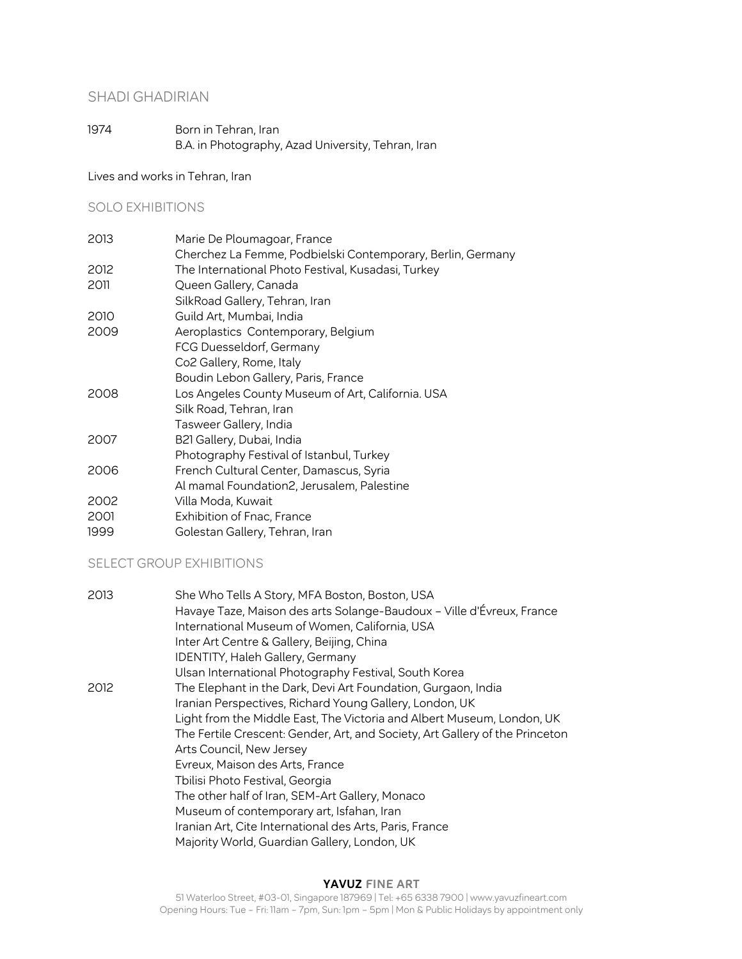# SHADI GHADIRIAN

1974 Born in Tehran, Iran B.A. in Photography, Azad University, Tehran, Iran

Lives and works in Tehran, Iran

# SOLO EXHIBITIONS

| 2013 | Marie De Ploumagoar, France<br>Cherchez La Femme, Podbielski Contemporary, Berlin, Germany |
|------|--------------------------------------------------------------------------------------------|
| 2012 | The International Photo Festival, Kusadasi, Turkey                                         |
| 2011 | Queen Gallery, Canada                                                                      |
|      | SilkRoad Gallery, Tehran, Iran                                                             |
| 2010 | Guild Art, Mumbai, India                                                                   |
| 2009 | Aeroplastics Contemporary, Belgium                                                         |
|      | FCG Duesseldorf, Germany                                                                   |
|      | Co2 Gallery, Rome, Italy                                                                   |
|      | Boudin Lebon Gallery, Paris, France                                                        |
| 2008 | Los Angeles County Museum of Art, California. USA                                          |
|      | Silk Road, Tehran, Iran                                                                    |
|      | Tasweer Gallery, India                                                                     |
| 2007 | B21 Gallery, Dubai, India                                                                  |
|      | Photography Festival of Istanbul, Turkey                                                   |
| 2006 | French Cultural Center, Damascus, Syria                                                    |
|      | Al mamal Foundation2, Jerusalem, Palestine                                                 |
| 2002 | Villa Moda, Kuwait                                                                         |
| 2001 | <b>Exhibition of Fnac, France</b>                                                          |
| 1999 | Golestan Gallery, Tehran, Iran                                                             |

# SELECT GROUP EXHIBITIONS

| 2013 | She Who Tells A Story, MFA Boston, Boston, USA<br>Havaye Taze, Maison des arts Solange-Baudoux - Ville d'Évreux, France<br>International Museum of Women, California, USA |
|------|---------------------------------------------------------------------------------------------------------------------------------------------------------------------------|
|      | Inter Art Centre & Gallery, Beijing, China                                                                                                                                |
|      | IDENTITY, Haleh Gallery, Germany                                                                                                                                          |
|      | Ulsan International Photography Festival, South Korea                                                                                                                     |
| 2012 | The Elephant in the Dark, Devi Art Foundation, Gurgaon, India                                                                                                             |
|      | Iranian Perspectives, Richard Young Gallery, London, UK                                                                                                                   |
|      | Light from the Middle East, The Victoria and Albert Museum, London, UK                                                                                                    |
|      | The Fertile Crescent: Gender, Art, and Society, Art Gallery of the Princeton                                                                                              |
|      | Arts Council, New Jersey                                                                                                                                                  |
|      | Evreux, Maison des Arts, France                                                                                                                                           |
|      | Tbilisi Photo Festival, Georgia                                                                                                                                           |
|      | The other half of Iran, SEM-Art Gallery, Monaco                                                                                                                           |
|      | Museum of contemporary art, Isfahan, Iran                                                                                                                                 |
|      | Iranian Art, Cite International des Arts, Paris, France                                                                                                                   |
|      | Majority World, Guardian Gallery, London, UK                                                                                                                              |
|      |                                                                                                                                                                           |

#### **YAVUZ FINE ART**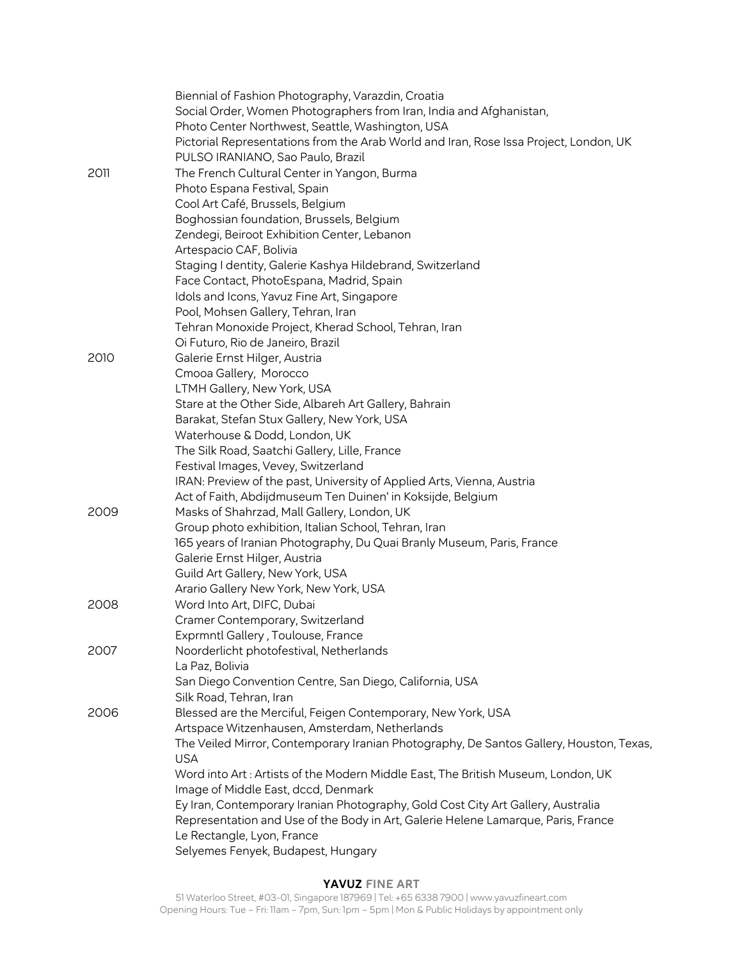|      | Biennial of Fashion Photography, Varazdin, Croatia                                      |
|------|-----------------------------------------------------------------------------------------|
|      | Social Order, Women Photographers from Iran, India and Afghanistan,                     |
|      | Photo Center Northwest, Seattle, Washington, USA                                        |
|      | Pictorial Representations from the Arab World and Iran, Rose Issa Project, London, UK   |
|      | PULSO IRANIANO, Sao Paulo, Brazil                                                       |
| 2011 | The French Cultural Center in Yangon, Burma                                             |
|      | Photo Espana Festival, Spain                                                            |
|      | Cool Art Café, Brussels, Belgium                                                        |
|      | Boghossian foundation, Brussels, Belgium                                                |
|      | Zendegi, Beiroot Exhibition Center, Lebanon                                             |
|      | Artespacio CAF, Bolivia                                                                 |
|      | Staging I dentity, Galerie Kashya Hildebrand, Switzerland                               |
|      | Face Contact, PhotoEspana, Madrid, Spain                                                |
|      | Idols and Icons, Yavuz Fine Art, Singapore                                              |
|      | Pool, Mohsen Gallery, Tehran, Iran                                                      |
|      | Tehran Monoxide Project, Kherad School, Tehran, Iran                                    |
|      | Oi Futuro, Rio de Janeiro, Brazil                                                       |
| 2010 | Galerie Ernst Hilger, Austria                                                           |
|      | Cmooa Gallery, Morocco                                                                  |
|      | LTMH Gallery, New York, USA                                                             |
|      | Stare at the Other Side, Albareh Art Gallery, Bahrain                                   |
|      | Barakat, Stefan Stux Gallery, New York, USA                                             |
|      | Waterhouse & Dodd, London, UK                                                           |
|      | The Silk Road, Saatchi Gallery, Lille, France                                           |
|      | Festival Images, Vevey, Switzerland                                                     |
|      | IRAN: Preview of the past, University of Applied Arts, Vienna, Austria                  |
|      | Act of Faith, Abdijdmuseum Ten Duinen' in Koksijde, Belgium                             |
| 2009 | Masks of Shahrzad, Mall Gallery, London, UK                                             |
|      | Group photo exhibition, Italian School, Tehran, Iran                                    |
|      | 165 years of Iranian Photography, Du Quai Branly Museum, Paris, France                  |
|      | Galerie Ernst Hilger, Austria                                                           |
|      | Guild Art Gallery, New York, USA                                                        |
|      | Arario Gallery New York, New York, USA                                                  |
| 2008 | Word Into Art, DIFC, Dubai                                                              |
|      | Cramer Contemporary, Switzerland                                                        |
|      | Exprmntl Gallery, Toulouse, France                                                      |
| 2007 | Noorderlicht photofestival, Netherlands                                                 |
|      | La Paz, Bolivia                                                                         |
|      | San Diego Convention Centre, San Diego, California, USA                                 |
|      | Silk Road, Tehran, Iran                                                                 |
| 2006 | Blessed are the Merciful, Feigen Contemporary, New York, USA                            |
|      | Artspace Witzenhausen, Amsterdam, Netherlands                                           |
|      | The Veiled Mirror, Contemporary Iranian Photography, De Santos Gallery, Houston, Texas, |
|      | <b>USA</b>                                                                              |
|      | Word into Art : Artists of the Modern Middle East, The British Museum, London, UK       |
|      | Image of Middle East, dccd, Denmark                                                     |
|      | Ey Iran, Contemporary Iranian Photography, Gold Cost City Art Gallery, Australia        |
|      | Representation and Use of the Body in Art, Galerie Helene Lamarque, Paris, France       |
|      | Le Rectangle, Lyon, France                                                              |
|      | Selyemes Fenyek, Budapest, Hungary                                                      |
|      |                                                                                         |

#### **YAVUZ FINE ART**